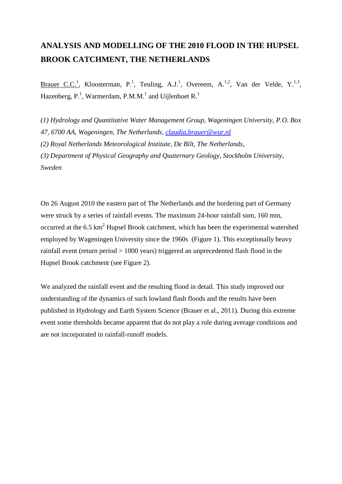## **ANALYSIS AND MODELLING OF THE 2010 FLOOD IN THE HUPSEL BROOK CATCHMENT, THE NETHERLANDS**

Brauer C.C.<sup>1</sup>, Kloosterman, P.<sup>1</sup>, Teuling, A.J.<sup>1</sup>, Overeem, A.<sup>1,2</sup>, Van der Velde, Y.<sup>1,3</sup>, Hazenberg,  $P^1$ , Warmerdam, P.M.M.<sup>1</sup> and Uijlenhoet R.<sup>1</sup>

*(1) Hydrology and Quantitative Water Management Group, Wageningen University, P.O. Box* 

*47, 6700 AA, Wageningen, The Netherlands, [claudia.brauer@wur.nl](mailto:claudia.brauer@wur.nl)*

*(2) Royal Netherlands Meteorological Institute, De Bilt, The Netherlands,* 

*(3) Department of Physical Geography and Quaternary Geology, Stockholm University, Sweden*

On 26 August 2010 the eastern part of The Netherlands and the bordering part of Germany were struck by a series of rainfall events. The maximum 24-hour rainfall sum, 160 mm, occurred at the  $6.5 \text{ km}^2$  Hupsel Brook catchment, which has been the experimental watershed employed by Wageningen University since the 1960s (Figure 1). This exceptionally heavy rainfall event (return period > 1000 years) triggered an unprecedented flash flood in the Hupsel Brook catchment (see Figure 2).

We analyzed the rainfall event and the resulting flood in detail. This study improved our understanding of the dynamics of such lowland flash floods and the results have been published in Hydrology and Earth System Science (Brauer et al., 2011). During this extreme event some thresholds became apparent that do not play a role during average conditions and are not incorporated in rainfall-runoff models.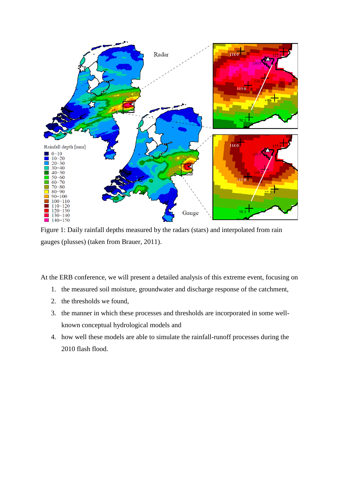

Figure 1: Daily rainfall depths measured by the radars (stars) and interpolated from rain gauges (plusses) (taken from Brauer, 2011).

At the ERB conference, we will present a detailed analysis of this extreme event, focusing on

- 1. the measured soil moisture, groundwater and discharge response of the catchment,
- 2. the thresholds we found,
- 3. the manner in which these processes and thresholds are incorporated in some wellknown conceptual hydrological models and
- 4. how well these models are able to simulate the rainfall-runoff processes during the 2010 flash flood.